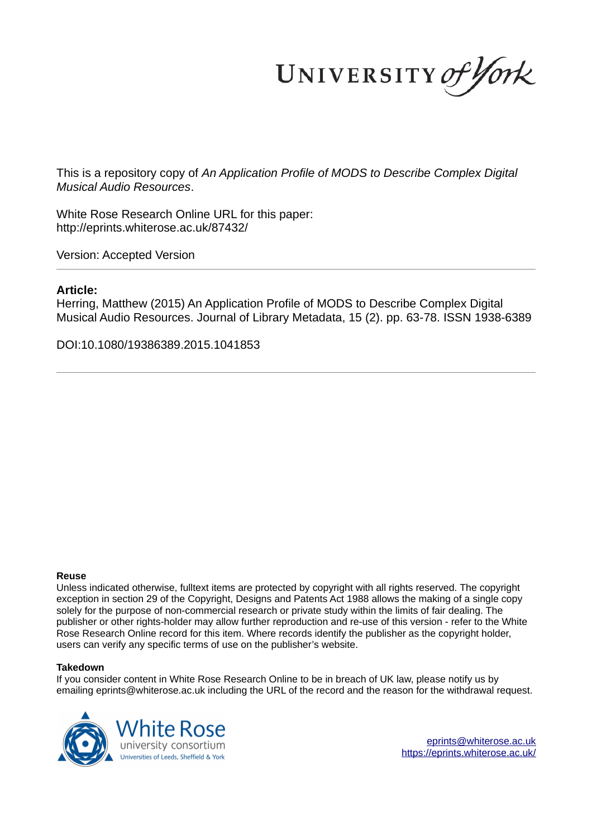UNIVERSITY of York

This is a repository copy of *An Application Profile of MODS to Describe Complex Digital Musical Audio Resources*.

White Rose Research Online URL for this paper: http://eprints.whiterose.ac.uk/87432/

Version: Accepted Version

#### **Article:**

Herring, Matthew (2015) An Application Profile of MODS to Describe Complex Digital Musical Audio Resources. Journal of Library Metadata, 15 (2). pp. 63-78. ISSN 1938-6389

DOI:10.1080/19386389.2015.1041853

#### **Reuse**

Unless indicated otherwise, fulltext items are protected by copyright with all rights reserved. The copyright exception in section 29 of the Copyright, Designs and Patents Act 1988 allows the making of a single copy solely for the purpose of non-commercial research or private study within the limits of fair dealing. The publisher or other rights-holder may allow further reproduction and re-use of this version - refer to the White Rose Research Online record for this item. Where records identify the publisher as the copyright holder, users can verify any specific terms of use on the publisher's website.

#### **Takedown**

If you consider content in White Rose Research Online to be in breach of UK law, please notify us by emailing eprints@whiterose.ac.uk including the URL of the record and the reason for the withdrawal request.

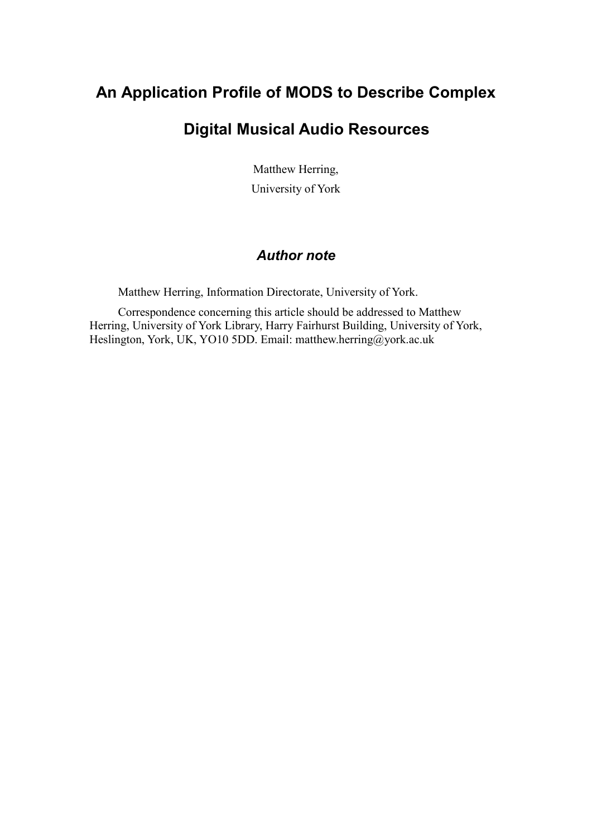# **An Application Profile of MODS to Describe Complex**

# **Digital Musical Audio Resources**

Matthew Herring, University of York

# *Author note*

Matthew Herring, Information Directorate, University of York.

Correspondence concerning this article should be addressed to Matthew Herring, University of York Library, Harry Fairhurst Building, University of York, Heslington, York, UK, YO10 5DD. Email: matthew.herring@york.ac.uk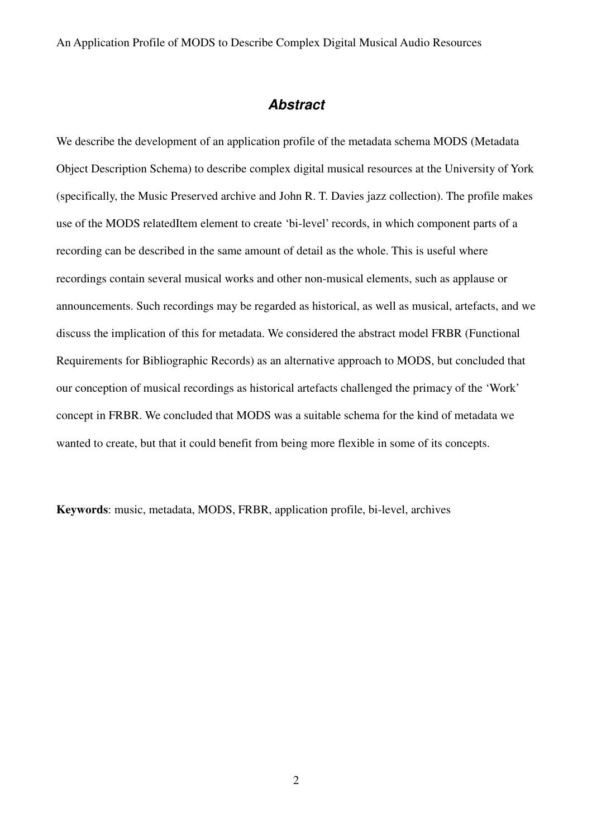### *Abstract*

We describe the development of an application profile of the metadata schema MODS (Metadata Object Description Schema) to describe complex digital musical resources at the University of York (specifically, the Music Preserved archive and John R. T. Davies jazz collection). The profile makes use of the MODS relatedItem element to create 'bi-level' records, in which component parts of a recording can be described in the same amount of detail as the whole. This is useful where recordings contain several musical works and other non-musical elements, such as applause or announcements. Such recordings may be regarded as historical, as well as musical, artefacts, and we discuss the implication of this for metadata. We considered the abstract model FRBR (Functional Requirements for Bibliographic Records) as an alternative approach to MODS, but concluded that our conception of musical recordings as historical artefacts challenged the primacy of the 'Work' concept in FRBR. We concluded that MODS was a suitable schema for the kind of metadata we wanted to create, but that it could benefit from being more flexible in some of its concepts.

**Keywords**: music, metadata, MODS, FRBR, application profile, bi-level, archives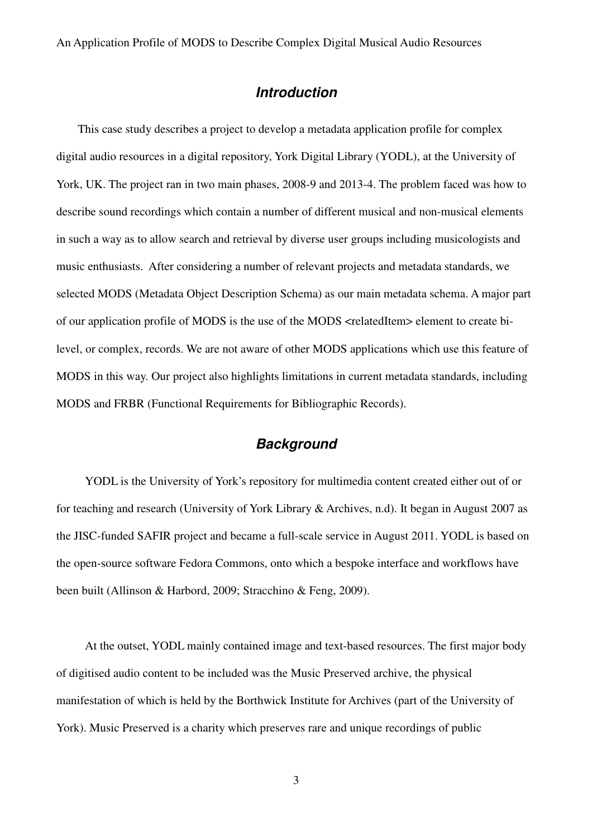### *Introduction*

This case study describes a project to develop a metadata application profile for complex digital audio resources in a digital repository, York Digital Library (YODL), at the University of York, UK. The project ran in two main phases, 2008-9 and 2013-4. The problem faced was how to describe sound recordings which contain a number of different musical and non-musical elements in such a way as to allow search and retrieval by diverse user groups including musicologists and music enthusiasts. After considering a number of relevant projects and metadata standards, we selected MODS (Metadata Object Description Schema) as our main metadata schema. A major part of our application profile of MODS is the use of the MODS <relatedItem> element to create bilevel, or complex, records. We are not aware of other MODS applications which use this feature of MODS in this way. Our project also highlights limitations in current metadata standards, including MODS and FRBR (Functional Requirements for Bibliographic Records).

## *Background*

YODL is the University of York's repository for multimedia content created either out of or for teaching and research (University of York Library & Archives, n.d). It began in August 2007 as the JISC-funded SAFIR project and became a full-scale service in August 2011. YODL is based on the open-source software Fedora Commons, onto which a bespoke interface and workflows have been built (Allinson & Harbord, 2009; Stracchino & Feng, 2009).

At the outset, YODL mainly contained image and text-based resources. The first major body of digitised audio content to be included was the Music Preserved archive, the physical manifestation of which is held by the Borthwick Institute for Archives (part of the University of York). Music Preserved is a charity which preserves rare and unique recordings of public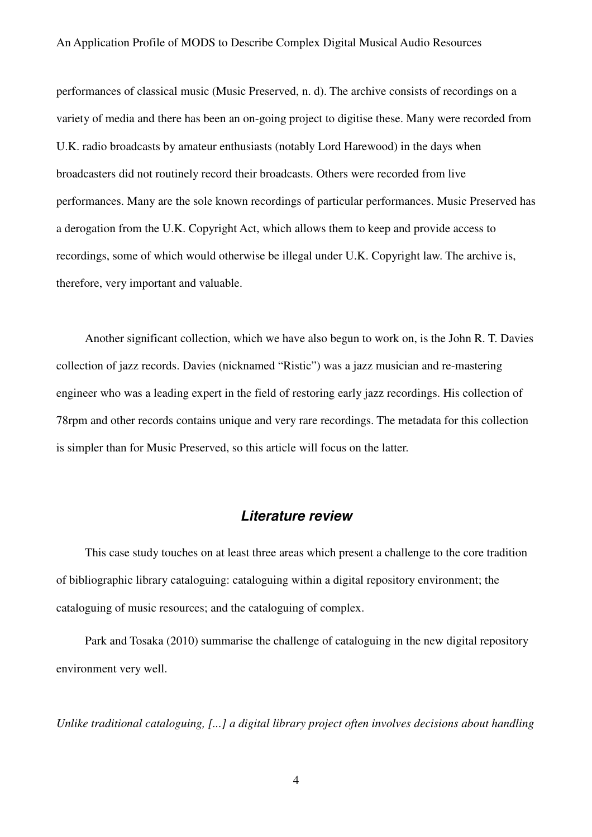performances of classical music (Music Preserved, n. d). The archive consists of recordings on a variety of media and there has been an on-going project to digitise these. Many were recorded from U.K. radio broadcasts by amateur enthusiasts (notably Lord Harewood) in the days when broadcasters did not routinely record their broadcasts. Others were recorded from live performances. Many are the sole known recordings of particular performances. Music Preserved has a derogation from the U.K. Copyright Act, which allows them to keep and provide access to recordings, some of which would otherwise be illegal under U.K. Copyright law. The archive is, therefore, very important and valuable.

Another significant collection, which we have also begun to work on, is the John R. T. Davies collection of jazz records. Davies (nicknamed "Ristic") was a jazz musician and re-mastering engineer who was a leading expert in the field of restoring early jazz recordings. His collection of 78rpm and other records contains unique and very rare recordings. The metadata for this collection is simpler than for Music Preserved, so this article will focus on the latter.

### *Literature review*

This case study touches on at least three areas which present a challenge to the core tradition of bibliographic library cataloguing: cataloguing within a digital repository environment; the cataloguing of music resources; and the cataloguing of complex.

Park and Tosaka (2010) summarise the challenge of cataloguing in the new digital repository environment very well.

*Unlike traditional cataloguing, [...] a digital library project often involves decisions about handling*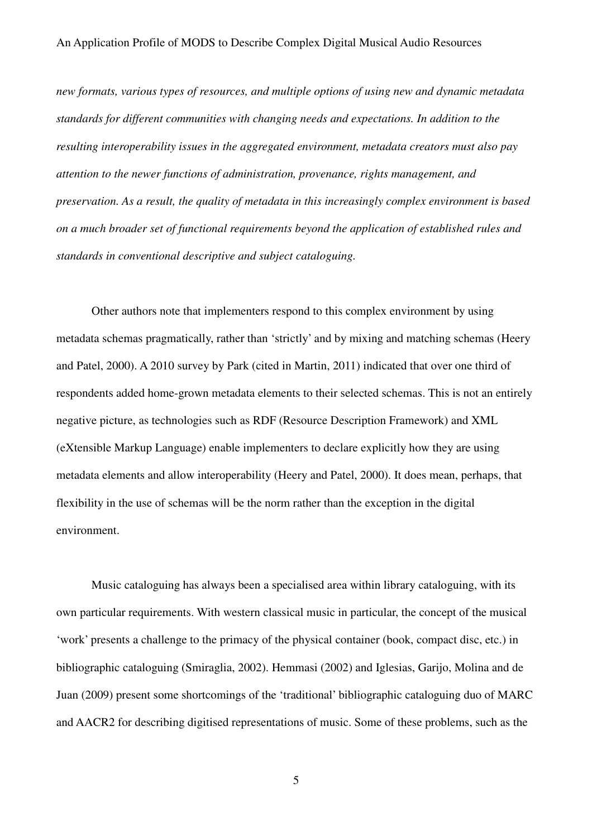*new formats, various types of resources, and multiple options of using new and dynamic metadata standards for different communities with changing needs and expectations. In addition to the resulting interoperability issues in the aggregated environment, metadata creators must also pay attention to the newer functions of administration, provenance, rights management, and preservation. As a result, the quality of metadata in this increasingly complex environment is based on a much broader set of functional requirements beyond the application of established rules and standards in conventional descriptive and subject cataloguing.*

Other authors note that implementers respond to this complex environment by using metadata schemas pragmatically, rather than 'strictly' and by mixing and matching schemas (Heery and Patel, 2000). A 2010 survey by Park (cited in Martin, 2011) indicated that over one third of respondents added home-grown metadata elements to their selected schemas. This is not an entirely negative picture, as technologies such as RDF (Resource Description Framework) and XML (eXtensible Markup Language) enable implementers to declare explicitly how they are using metadata elements and allow interoperability (Heery and Patel, 2000). It does mean, perhaps, that flexibility in the use of schemas will be the norm rather than the exception in the digital environment.

Music cataloguing has always been a specialised area within library cataloguing, with its own particular requirements. With western classical music in particular, the concept of the musical 'work' presents a challenge to the primacy of the physical container (book, compact disc, etc.) in bibliographic cataloguing (Smiraglia, 2002). Hemmasi (2002) and Iglesias, Garijo, Molina and de Juan (2009) present some shortcomings of the 'traditional' bibliographic cataloguing duo of MARC and AACR2 for describing digitised representations of music. Some of these problems, such as the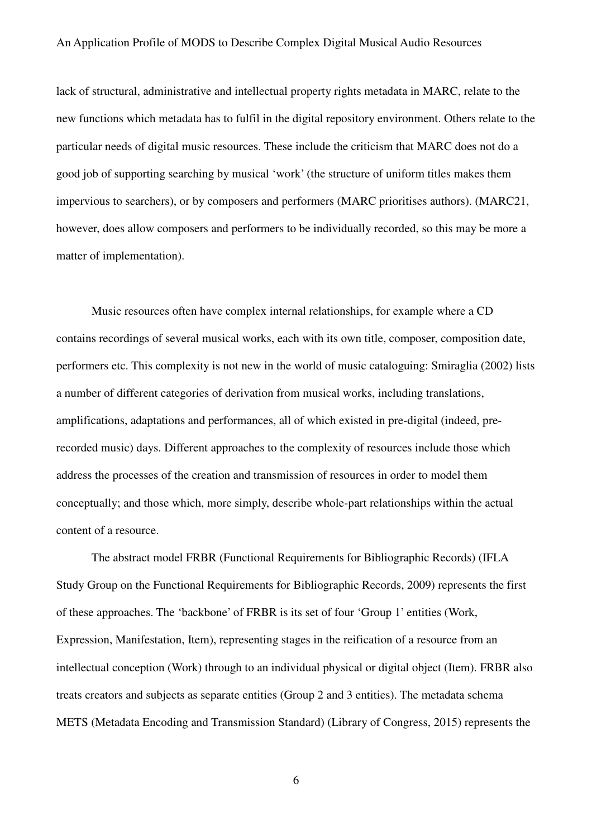lack of structural, administrative and intellectual property rights metadata in MARC, relate to the new functions which metadata has to fulfil in the digital repository environment. Others relate to the particular needs of digital music resources. These include the criticism that MARC does not do a good job of supporting searching by musical 'work' (the structure of uniform titles makes them impervious to searchers), or by composers and performers (MARC prioritises authors). (MARC21, however, does allow composers and performers to be individually recorded, so this may be more a matter of implementation).

Music resources often have complex internal relationships, for example where a CD contains recordings of several musical works, each with its own title, composer, composition date, performers etc. This complexity is not new in the world of music cataloguing: Smiraglia (2002) lists a number of different categories of derivation from musical works, including translations, amplifications, adaptations and performances, all of which existed in pre-digital (indeed, prerecorded music) days. Different approaches to the complexity of resources include those which address the processes of the creation and transmission of resources in order to model them conceptually; and those which, more simply, describe whole-part relationships within the actual content of a resource.

The abstract model FRBR (Functional Requirements for Bibliographic Records) (IFLA Study Group on the Functional Requirements for Bibliographic Records, 2009) represents the first of these approaches. The 'backbone' of FRBR is its set of four 'Group 1' entities (Work, Expression, Manifestation, Item), representing stages in the reification of a resource from an intellectual conception (Work) through to an individual physical or digital object (Item). FRBR also treats creators and subjects as separate entities (Group 2 and 3 entities). The metadata schema METS (Metadata Encoding and Transmission Standard) (Library of Congress, 2015) represents the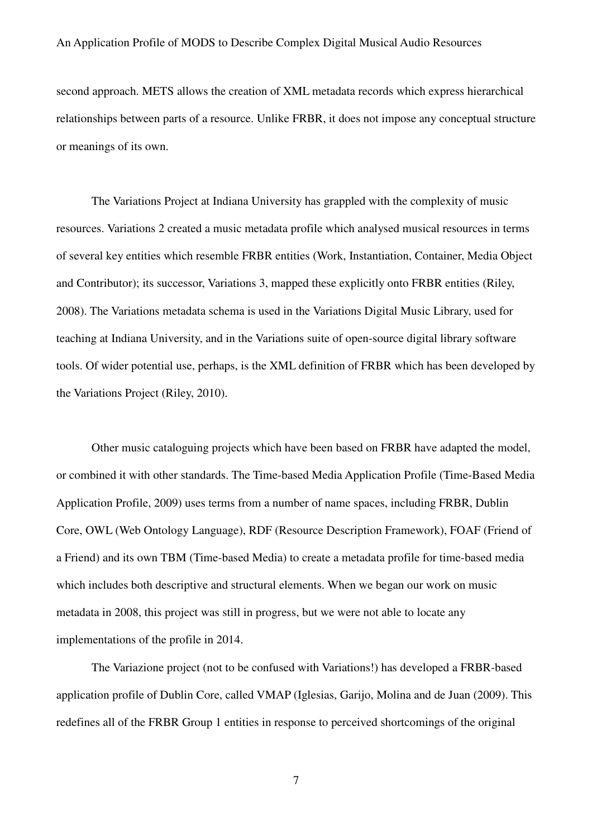second approach. METS allows the creation of XML metadata records which express hierarchical relationships between parts of a resource. Unlike FRBR, it does not impose any conceptual structure or meanings of its own.

The Variations Project at Indiana University has grappled with the complexity of music resources. Variations 2 created a music metadata profile which analysed musical resources in terms of several key entities which resemble FRBR entities (Work, Instantiation, Container, Media Object and Contributor); its successor, Variations 3, mapped these explicitly onto FRBR entities (Riley, 2008). The Variations metadata schema is used in the Variations Digital Music Library, used for teaching at Indiana University, and in the Variations suite of open-source digital library software tools. Of wider potential use, perhaps, is the XML definition of FRBR which has been developed by the Variations Project (Riley, 2010).

Other music cataloguing projects which have been based on FRBR have adapted the model, or combined it with other standards. The Time-based Media Application Profile (Time-Based Media Application Profile, 2009) uses terms from a number of name spaces, including FRBR, Dublin Core, OWL (Web Ontology Language), RDF (Resource Description Framework), FOAF (Friend of a Friend) and its own TBM (Time-based Media) to create a metadata profile for time-based media which includes both descriptive and structural elements. When we began our work on music metadata in 2008, this project was still in progress, but we were not able to locate any implementations of the profile in 2014.

The Variazione project (not to be confused with Variations!) has developed a FRBR-based application profile of Dublin Core, called VMAP (Iglesias, Garijo, Molina and de Juan (2009). This redefines all of the FRBR Group 1 entities in response to perceived shortcomings of the original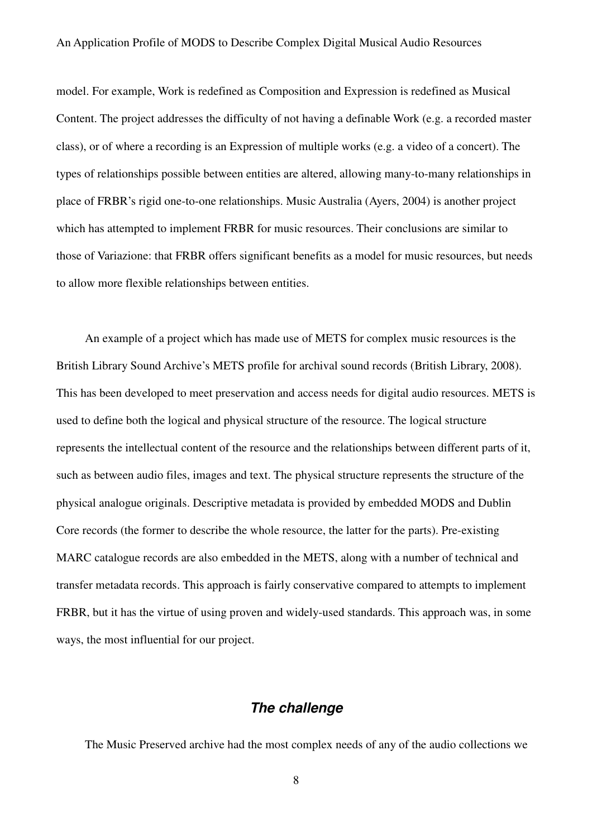model. For example, Work is redefined as Composition and Expression is redefined as Musical Content. The project addresses the difficulty of not having a definable Work (e.g. a recorded master class), or of where a recording is an Expression of multiple works (e.g. a video of a concert). The types of relationships possible between entities are altered, allowing many-to-many relationships in place of FRBR's rigid one-to-one relationships. Music Australia (Ayers, 2004) is another project which has attempted to implement FRBR for music resources. Their conclusions are similar to those of Variazione: that FRBR offers significant benefits as a model for music resources, but needs to allow more flexible relationships between entities.

An example of a project which has made use of METS for complex music resources is the British Library Sound Archive's METS profile for archival sound records (British Library, 2008). This has been developed to meet preservation and access needs for digital audio resources. METS is used to define both the logical and physical structure of the resource. The logical structure represents the intellectual content of the resource and the relationships between different parts of it, such as between audio files, images and text. The physical structure represents the structure of the physical analogue originals. Descriptive metadata is provided by embedded MODS and Dublin Core records (the former to describe the whole resource, the latter for the parts). Pre-existing MARC catalogue records are also embedded in the METS, along with a number of technical and transfer metadata records. This approach is fairly conservative compared to attempts to implement FRBR, but it has the virtue of using proven and widely-used standards. This approach was, in some ways, the most influential for our project.

# *The challenge*

The Music Preserved archive had the most complex needs of any of the audio collections we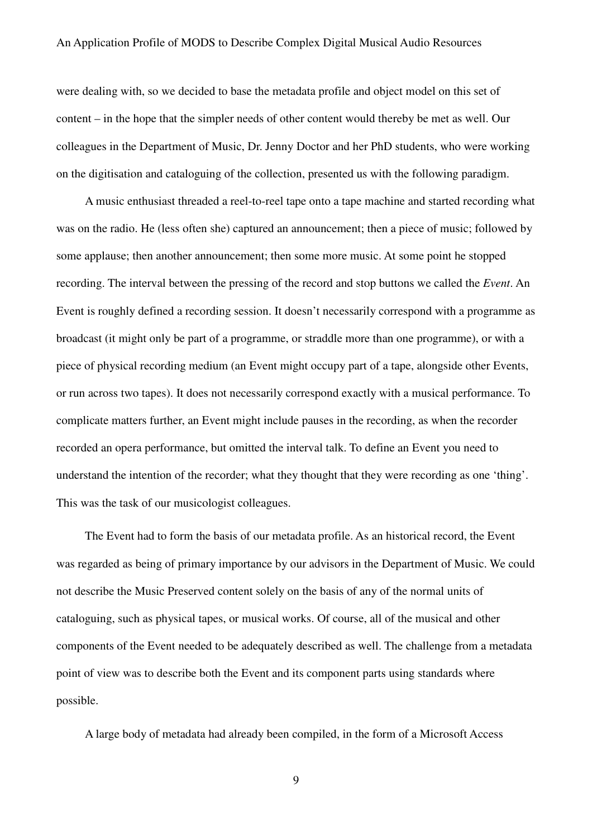were dealing with, so we decided to base the metadata profile and object model on this set of content – in the hope that the simpler needs of other content would thereby be met as well. Our colleagues in the Department of Music, Dr. Jenny Doctor and her PhD students, who were working on the digitisation and cataloguing of the collection, presented us with the following paradigm.

A music enthusiast threaded a reel-to-reel tape onto a tape machine and started recording what was on the radio. He (less often she) captured an announcement; then a piece of music; followed by some applause; then another announcement; then some more music. At some point he stopped recording. The interval between the pressing of the record and stop buttons we called the *Event*. An Event is roughly defined a recording session. It doesn't necessarily correspond with a programme as broadcast (it might only be part of a programme, or straddle more than one programme), or with a piece of physical recording medium (an Event might occupy part of a tape, alongside other Events, or run across two tapes). It does not necessarily correspond exactly with a musical performance. To complicate matters further, an Event might include pauses in the recording, as when the recorder recorded an opera performance, but omitted the interval talk. To define an Event you need to understand the intention of the recorder; what they thought that they were recording as one 'thing'. This was the task of our musicologist colleagues.

The Event had to form the basis of our metadata profile. As an historical record, the Event was regarded as being of primary importance by our advisors in the Department of Music. We could not describe the Music Preserved content solely on the basis of any of the normal units of cataloguing, such as physical tapes, or musical works. Of course, all of the musical and other components of the Event needed to be adequately described as well. The challenge from a metadata point of view was to describe both the Event and its component parts using standards where possible.

A large body of metadata had already been compiled, in the form of a Microsoft Access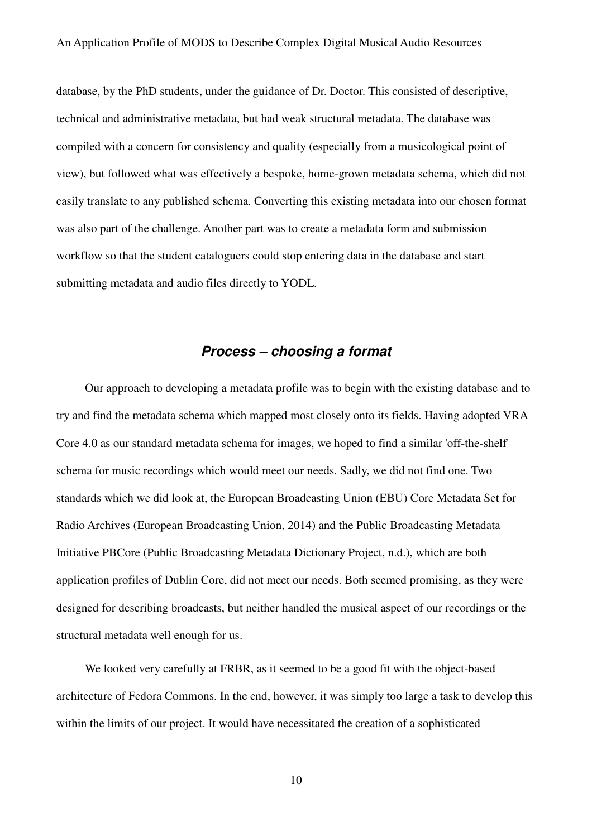database, by the PhD students, under the guidance of Dr. Doctor. This consisted of descriptive, technical and administrative metadata, but had weak structural metadata. The database was compiled with a concern for consistency and quality (especially from a musicological point of view), but followed what was effectively a bespoke, home-grown metadata schema, which did not easily translate to any published schema. Converting this existing metadata into our chosen format was also part of the challenge. Another part was to create a metadata form and submission workflow so that the student cataloguers could stop entering data in the database and start submitting metadata and audio files directly to YODL.

## *Process – choosing a format*

Our approach to developing a metadata profile was to begin with the existing database and to try and find the metadata schema which mapped most closely onto its fields. Having adopted VRA Core 4.0 as our standard metadata schema for images, we hoped to find a similar 'off-the-shelf' schema for music recordings which would meet our needs. Sadly, we did not find one. Two standards which we did look at, the European Broadcasting Union (EBU) Core Metadata Set for Radio Archives (European Broadcasting Union, 2014) and the Public Broadcasting Metadata Initiative PBCore (Public Broadcasting Metadata Dictionary Project, n.d.), which are both application profiles of Dublin Core, did not meet our needs. Both seemed promising, as they were designed for describing broadcasts, but neither handled the musical aspect of our recordings or the structural metadata well enough for us.

We looked very carefully at FRBR, as it seemed to be a good fit with the object-based architecture of Fedora Commons. In the end, however, it was simply too large a task to develop this within the limits of our project. It would have necessitated the creation of a sophisticated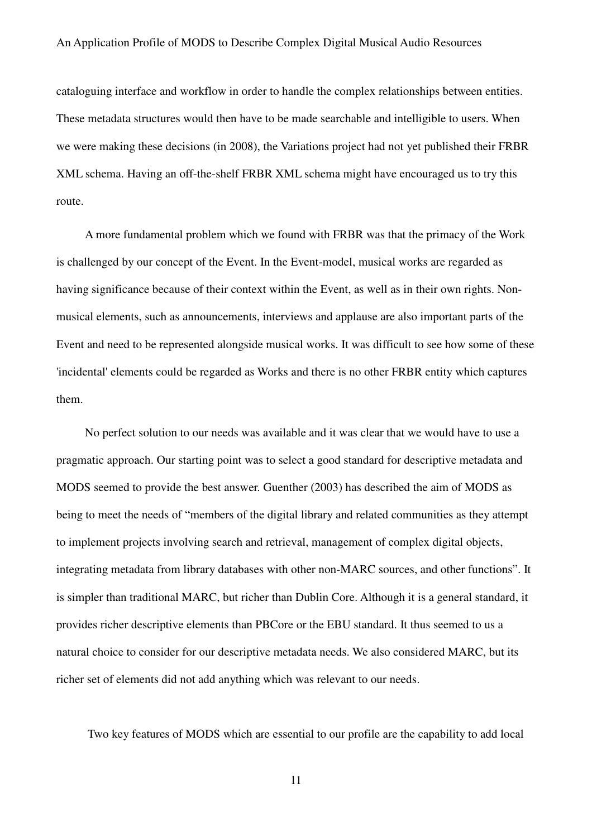cataloguing interface and workflow in order to handle the complex relationships between entities. These metadata structures would then have to be made searchable and intelligible to users. When we were making these decisions (in 2008), the Variations project had not yet published their FRBR XML schema. Having an off-the-shelf FRBR XML schema might have encouraged us to try this route.

A more fundamental problem which we found with FRBR was that the primacy of the Work is challenged by our concept of the Event. In the Event-model, musical works are regarded as having significance because of their context within the Event, as well as in their own rights. Nonmusical elements, such as announcements, interviews and applause are also important parts of the Event and need to be represented alongside musical works. It was difficult to see how some of these 'incidental' elements could be regarded as Works and there is no other FRBR entity which captures them.

No perfect solution to our needs was available and it was clear that we would have to use a pragmatic approach. Our starting point was to select a good standard for descriptive metadata and MODS seemed to provide the best answer. Guenther (2003) has described the aim of MODS as being to meet the needs of "members of the digital library and related communities as they attempt to implement projects involving search and retrieval, management of complex digital objects, integrating metadata from library databases with other non-MARC sources, and other functions". It is simpler than traditional MARC, but richer than Dublin Core. Although it is a general standard, it provides richer descriptive elements than PBCore or the EBU standard. It thus seemed to us a natural choice to consider for our descriptive metadata needs. We also considered MARC, but its richer set of elements did not add anything which was relevant to our needs.

Two key features of MODS which are essential to our profile are the capability to add local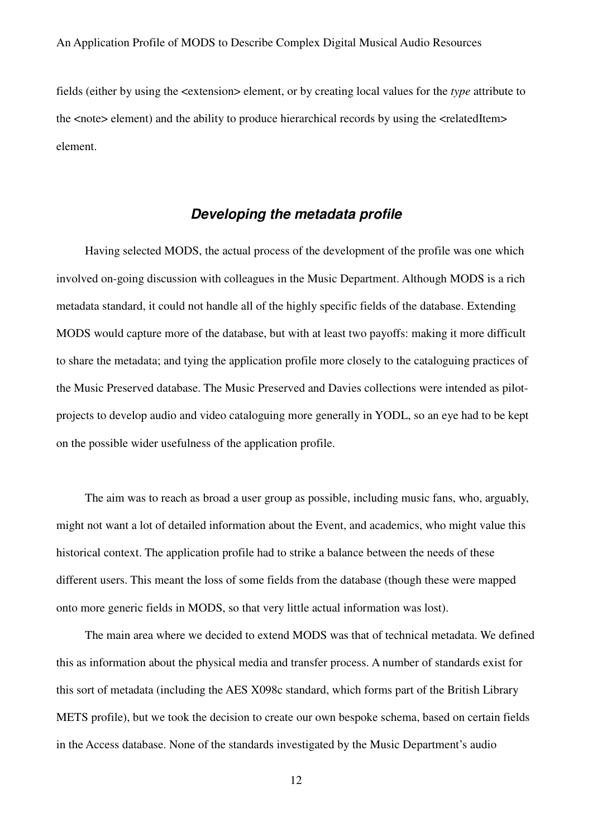fields (either by using the <extension> element, or by creating local values for the *type* attribute to the <note> element) and the ability to produce hierarchical records by using the <relatedItem> element.

#### *Developing the metadata profile*

Having selected MODS, the actual process of the development of the profile was one which involved on-going discussion with colleagues in the Music Department. Although MODS is a rich metadata standard, it could not handle all of the highly specific fields of the database. Extending MODS would capture more of the database, but with at least two payoffs: making it more difficult to share the metadata; and tying the application profile more closely to the cataloguing practices of the Music Preserved database. The Music Preserved and Davies collections were intended as pilotprojects to develop audio and video cataloguing more generally in YODL, so an eye had to be kept on the possible wider usefulness of the application profile.

The aim was to reach as broad a user group as possible, including music fans, who, arguably, might not want a lot of detailed information about the Event, and academics, who might value this historical context. The application profile had to strike a balance between the needs of these different users. This meant the loss of some fields from the database (though these were mapped onto more generic fields in MODS, so that very little actual information was lost).

The main area where we decided to extend MODS was that of technical metadata. We defined this as information about the physical media and transfer process. A number of standards exist for this sort of metadata (including the AES X098c standard, which forms part of the British Library METS profile), but we took the decision to create our own bespoke schema, based on certain fields in the Access database. None of the standards investigated by the Music Department's audio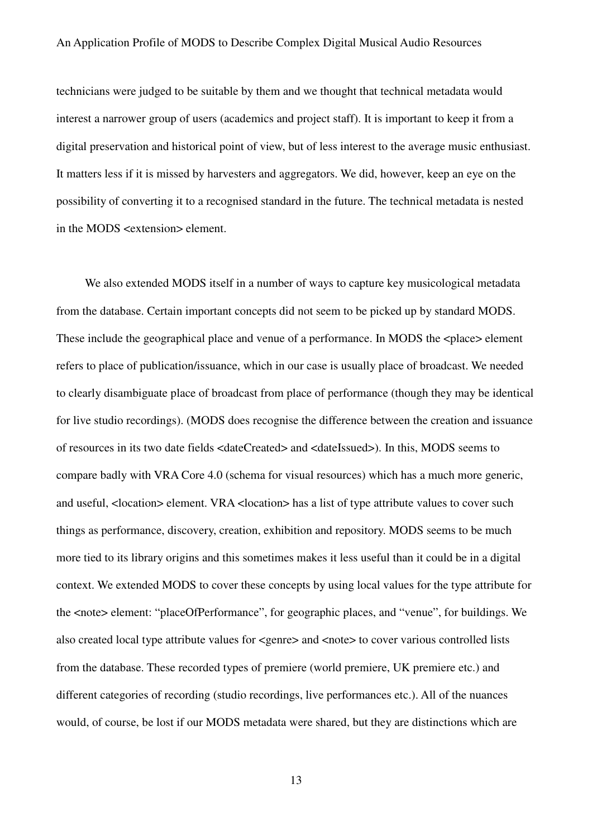technicians were judged to be suitable by them and we thought that technical metadata would interest a narrower group of users (academics and project staff). It is important to keep it from a digital preservation and historical point of view, but of less interest to the average music enthusiast. It matters less if it is missed by harvesters and aggregators. We did, however, keep an eye on the possibility of converting it to a recognised standard in the future. The technical metadata is nested in the MODS <extension> element.

We also extended MODS itself in a number of ways to capture key musicological metadata from the database. Certain important concepts did not seem to be picked up by standard MODS. These include the geographical place and venue of a performance. In MODS the  $\langle$  place> element refers to place of publication/issuance, which in our case is usually place of broadcast. We needed to clearly disambiguate place of broadcast from place of performance (though they may be identical for live studio recordings). (MODS does recognise the difference between the creation and issuance of resources in its two date fields <dateCreated> and <dateIssued>). In this, MODS seems to compare badly with VRA Core 4.0 (schema for visual resources) which has a much more generic, and useful, <location> element. VRA <location> has a list of type attribute values to cover such things as performance, discovery, creation, exhibition and repository. MODS seems to be much more tied to its library origins and this sometimes makes it less useful than it could be in a digital context. We extended MODS to cover these concepts by using local values for the type attribute for the <note> element: "placeOfPerformance", for geographic places, and "venue", for buildings. We also created local type attribute values for <genre> and <note> to cover various controlled lists from the database. These recorded types of premiere (world premiere, UK premiere etc.) and different categories of recording (studio recordings, live performances etc.). All of the nuances would, of course, be lost if our MODS metadata were shared, but they are distinctions which are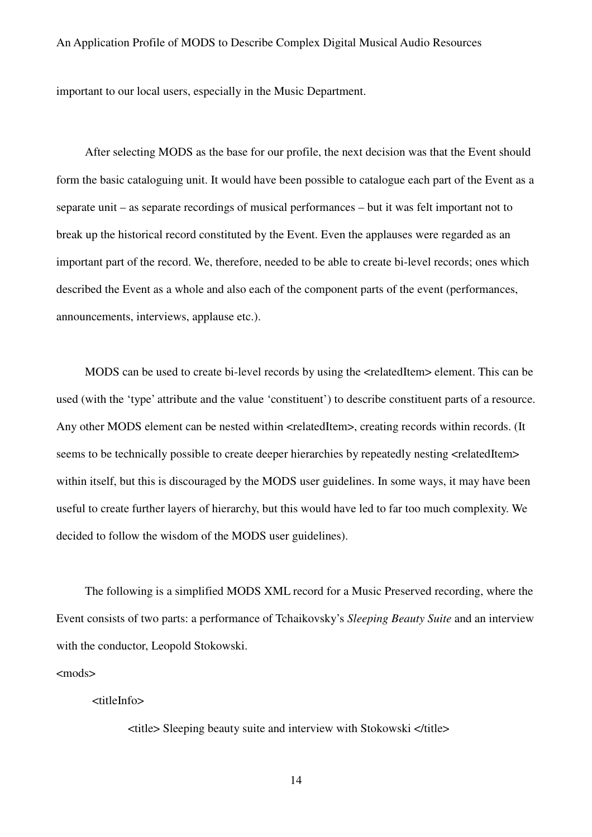important to our local users, especially in the Music Department.

After selecting MODS as the base for our profile, the next decision was that the Event should form the basic cataloguing unit. It would have been possible to catalogue each part of the Event as a separate unit – as separate recordings of musical performances – but it was felt important not to break up the historical record constituted by the Event. Even the applauses were regarded as an important part of the record. We, therefore, needed to be able to create bi-level records; ones which described the Event as a whole and also each of the component parts of the event (performances, announcements, interviews, applause etc.).

MODS can be used to create bi-level records by using the  $\leq$  relatedItem beloment. This can be used (with the 'type' attribute and the value 'constituent') to describe constituent parts of a resource. Any other MODS element can be nested within  $\leq$ relatedItem>, creating records within records. (It seems to be technically possible to create deeper hierarchies by repeatedly nesting  $\leq$  relatedItem> within itself, but this is discouraged by the MODS user guidelines. In some ways, it may have been useful to create further layers of hierarchy, but this would have led to far too much complexity. We decided to follow the wisdom of the MODS user guidelines).

The following is a simplified MODS XML record for a Music Preserved recording, where the Event consists of two parts: a performance of Tchaikovsky's *Sleeping Beauty Suite* and an interview with the conductor, Leopold Stokowski.

<mods>

#### <titleInfo>

 $\lt$ title $\gt$  Sleeping beauty suite and interview with Stokowski  $\lt$ /title $\gt$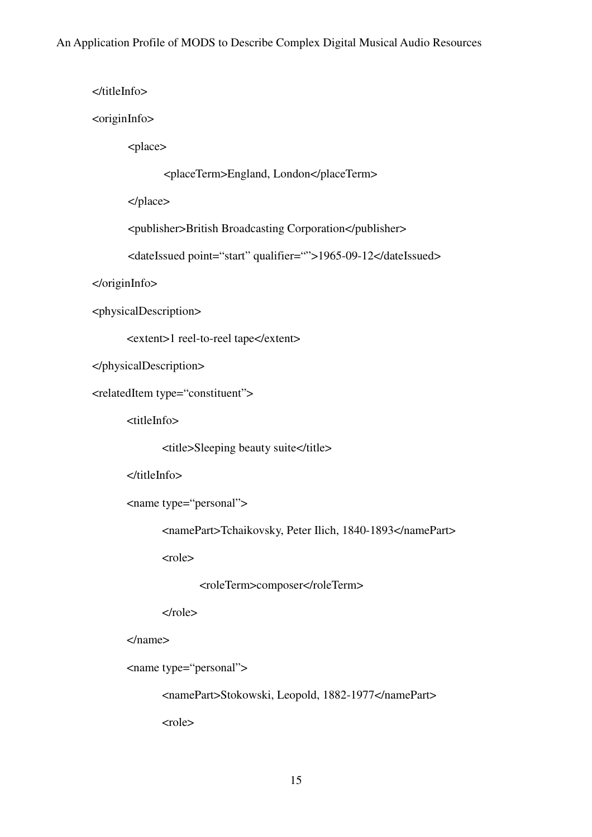#### </titleInfo>

#### <originInfo>

<place>

<placeTerm>England, London</placeTerm>

</place>

<publisher>British Broadcasting Corporation</publisher>

<dateIssued point="start" qualifier="">1965-09-12</dateIssued>

</originInfo>

```
<physicalDescription>
```
<extent>1 reel-to-reel tape</extent>

```
</physicalDescription>
```

```
<relatedItem type="constituent">
```
<titleInfo>

<title>Sleeping beauty suite</title>

</titleInfo>

<name type="personal">

<namePart>Tchaikovsky, Peter Ilich, 1840-1893</namePart>

<role>

<roleTerm>composer</roleTerm>

 $\langle$ role $>$ 

</name>

<name type="personal">

<namePart>Stokowski, Leopold, 1882-1977</namePart>

<role>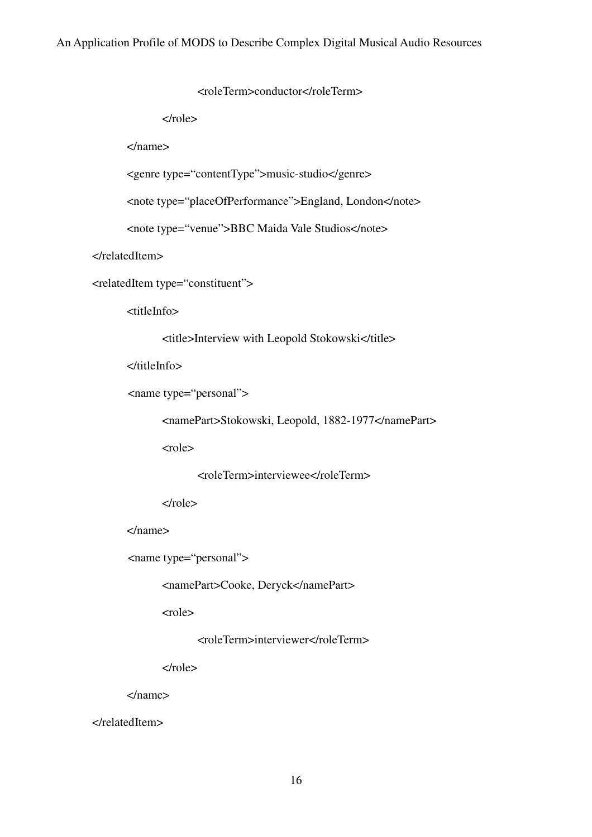```
<roleTerm>conductor</roleTerm>
```
</role>

</name>

<genre type="contentType">music-studio</genre>

<note type="placeOfPerformance">England, London</note>

<note type="venue">BBC Maida Vale Studios</note>

</relatedItem>

<relatedItem type="constituent">

<titleInfo>

<title>Interview with Leopold Stokowski</title>

</titleInfo>

```
<name type="personal">
```
<namePart>Stokowski, Leopold, 1882-1977</namePart>

<role>

<roleTerm>interviewee</roleTerm>

 $\langle$ role $>$ 

</name>

<name type="personal">

<namePart>Cooke, Deryck</namePart>

<role>

<roleTerm>interviewer</roleTerm>

</role>

</name>

</relatedItem>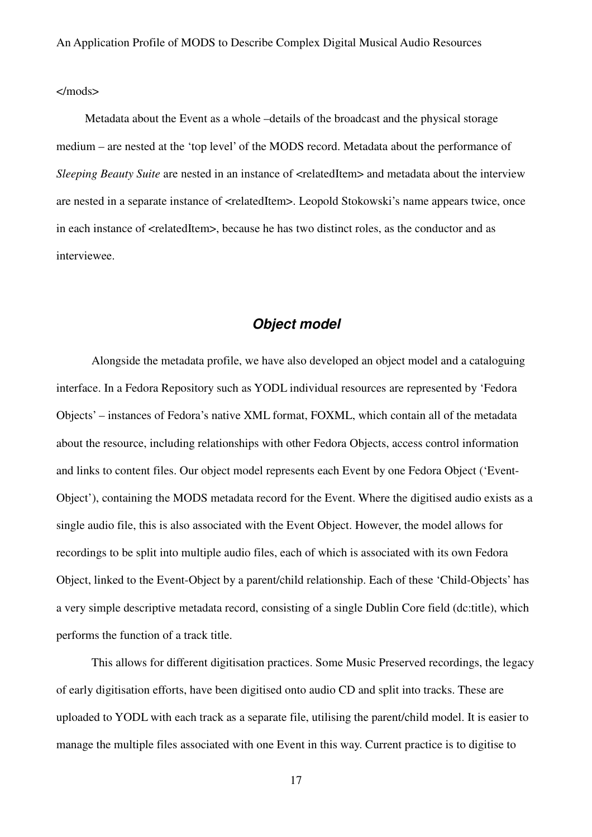</mods>

Metadata about the Event as a whole –details of the broadcast and the physical storage medium – are nested at the 'top level' of the MODS record. Metadata about the performance of *Sleeping Beauty Suite* are nested in an instance of  $\leq$  relatedItem> and metadata about the interview are nested in a separate instance of <relatedItem>. Leopold Stokowski's name appears twice, once in each instance of  $\leq$  relatedItem>, because he has two distinct roles, as the conductor and as interviewee.

# *Object model*

Alongside the metadata profile, we have also developed an object model and a cataloguing interface. In a Fedora Repository such as YODL individual resources are represented by 'Fedora Objects' – instances of Fedora's native XML format, FOXML, which contain all of the metadata about the resource, including relationships with other Fedora Objects, access control information and links to content files. Our object model represents each Event by one Fedora Object ('Event-Object'), containing the MODS metadata record for the Event. Where the digitised audio exists as a single audio file, this is also associated with the Event Object. However, the model allows for recordings to be split into multiple audio files, each of which is associated with its own Fedora Object, linked to the Event-Object by a parent/child relationship. Each of these 'Child-Objects' has a very simple descriptive metadata record, consisting of a single Dublin Core field (dc:title), which performs the function of a track title.

This allows for different digitisation practices. Some Music Preserved recordings, the legacy of early digitisation efforts, have been digitised onto audio CD and split into tracks. These are uploaded to YODL with each track as a separate file, utilising the parent/child model. It is easier to manage the multiple files associated with one Event in this way. Current practice is to digitise to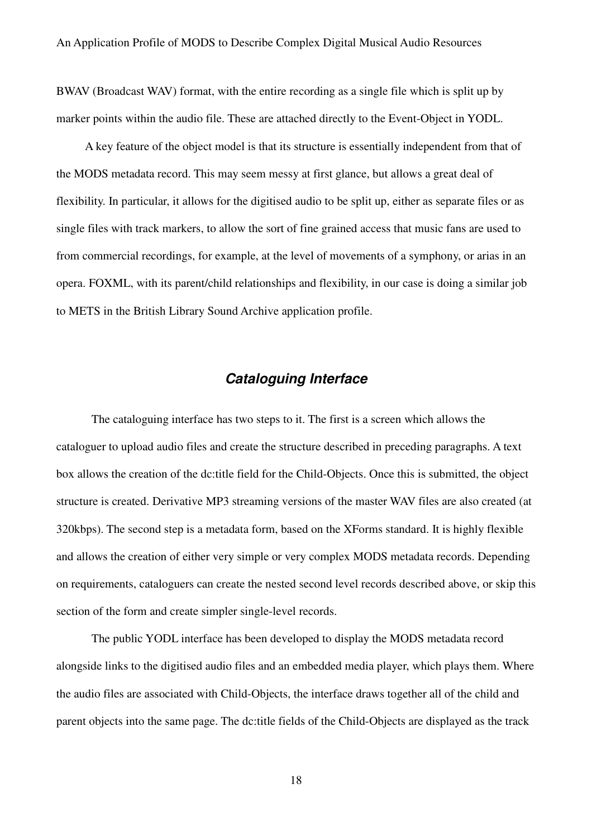BWAV (Broadcast WAV) format, with the entire recording as a single file which is split up by marker points within the audio file. These are attached directly to the Event-Object in YODL.

A key feature of the object model is that its structure is essentially independent from that of the MODS metadata record. This may seem messy at first glance, but allows a great deal of flexibility. In particular, it allows for the digitised audio to be split up, either as separate files or as single files with track markers, to allow the sort of fine grained access that music fans are used to from commercial recordings, for example, at the level of movements of a symphony, or arias in an opera. FOXML, with its parent/child relationships and flexibility, in our case is doing a similar job to METS in the British Library Sound Archive application profile.

# *Cataloguing Interface*

The cataloguing interface has two steps to it. The first is a screen which allows the cataloguer to upload audio files and create the structure described in preceding paragraphs. A text box allows the creation of the dc:title field for the Child-Objects. Once this is submitted, the object structure is created. Derivative MP3 streaming versions of the master WAV files are also created (at 320kbps). The second step is a metadata form, based on the XForms standard. It is highly flexible and allows the creation of either very simple or very complex MODS metadata records. Depending on requirements, cataloguers can create the nested second level records described above, or skip this section of the form and create simpler single-level records.

The public YODL interface has been developed to display the MODS metadata record alongside links to the digitised audio files and an embedded media player, which plays them. Where the audio files are associated with Child-Objects, the interface draws together all of the child and parent objects into the same page. The dc:title fields of the Child-Objects are displayed as the track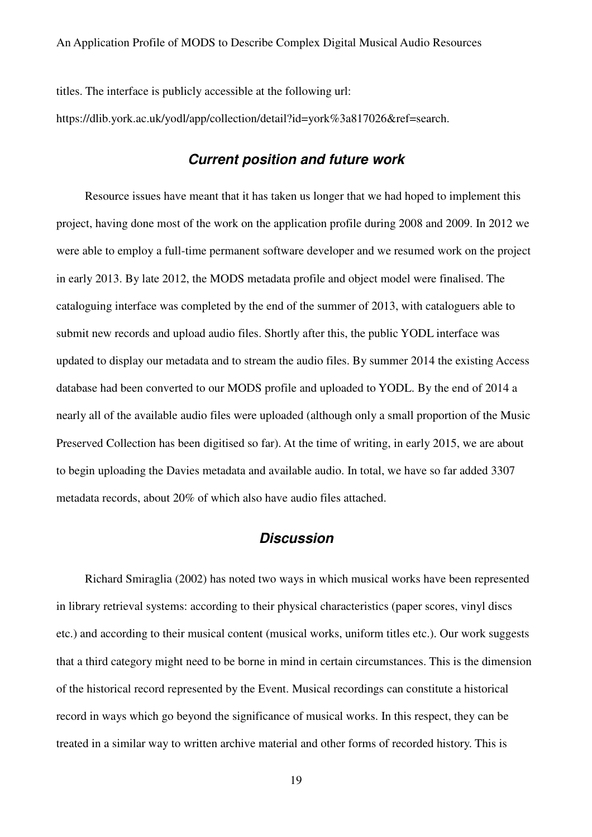titles. The interface is publicly accessible at the following url:

https://dlib.york.ac.uk/yodl/app/collection/detail?id=york%3a817026&ref=search.

## *Current position and future work*

Resource issues have meant that it has taken us longer that we had hoped to implement this project, having done most of the work on the application profile during 2008 and 2009. In 2012 we were able to employ a full-time permanent software developer and we resumed work on the project in early 2013. By late 2012, the MODS metadata profile and object model were finalised. The cataloguing interface was completed by the end of the summer of 2013, with cataloguers able to submit new records and upload audio files. Shortly after this, the public YODL interface was updated to display our metadata and to stream the audio files. By summer 2014 the existing Access database had been converted to our MODS profile and uploaded to YODL. By the end of 2014 a nearly all of the available audio files were uploaded (although only a small proportion of the Music Preserved Collection has been digitised so far). At the time of writing, in early 2015, we are about to begin uploading the Davies metadata and available audio. In total, we have so far added 3307 metadata records, about 20% of which also have audio files attached.

### *Discussion*

Richard Smiraglia (2002) has noted two ways in which musical works have been represented in library retrieval systems: according to their physical characteristics (paper scores, vinyl discs etc.) and according to their musical content (musical works, uniform titles etc.). Our work suggests that a third category might need to be borne in mind in certain circumstances. This is the dimension of the historical record represented by the Event. Musical recordings can constitute a historical record in ways which go beyond the significance of musical works. In this respect, they can be treated in a similar way to written archive material and other forms of recorded history. This is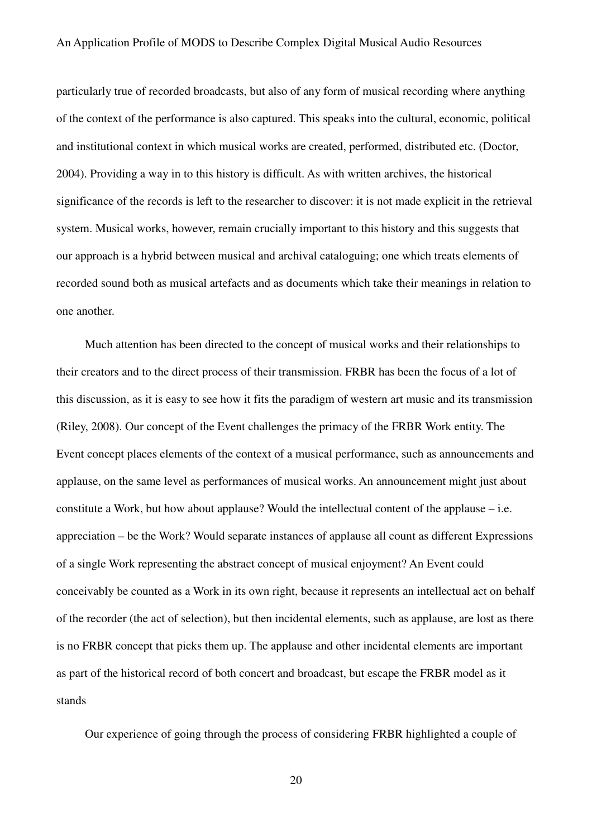particularly true of recorded broadcasts, but also of any form of musical recording where anything of the context of the performance is also captured. This speaks into the cultural, economic, political and institutional context in which musical works are created, performed, distributed etc. (Doctor, 2004). Providing a way in to this history is difficult. As with written archives, the historical significance of the records is left to the researcher to discover: it is not made explicit in the retrieval system. Musical works, however, remain crucially important to this history and this suggests that our approach is a hybrid between musical and archival cataloguing; one which treats elements of recorded sound both as musical artefacts and as documents which take their meanings in relation to one another.

Much attention has been directed to the concept of musical works and their relationships to their creators and to the direct process of their transmission. FRBR has been the focus of a lot of this discussion, as it is easy to see how it fits the paradigm of western art music and its transmission (Riley, 2008). Our concept of the Event challenges the primacy of the FRBR Work entity. The Event concept places elements of the context of a musical performance, such as announcements and applause, on the same level as performances of musical works. An announcement might just about constitute a Work, but how about applause? Would the intellectual content of the applause  $-$  i.e. appreciation – be the Work? Would separate instances of applause all count as different Expressions of a single Work representing the abstract concept of musical enjoyment? An Event could conceivably be counted as a Work in its own right, because it represents an intellectual act on behalf of the recorder (the act of selection), but then incidental elements, such as applause, are lost as there is no FRBR concept that picks them up. The applause and other incidental elements are important as part of the historical record of both concert and broadcast, but escape the FRBR model as it stands

Our experience of going through the process of considering FRBR highlighted a couple of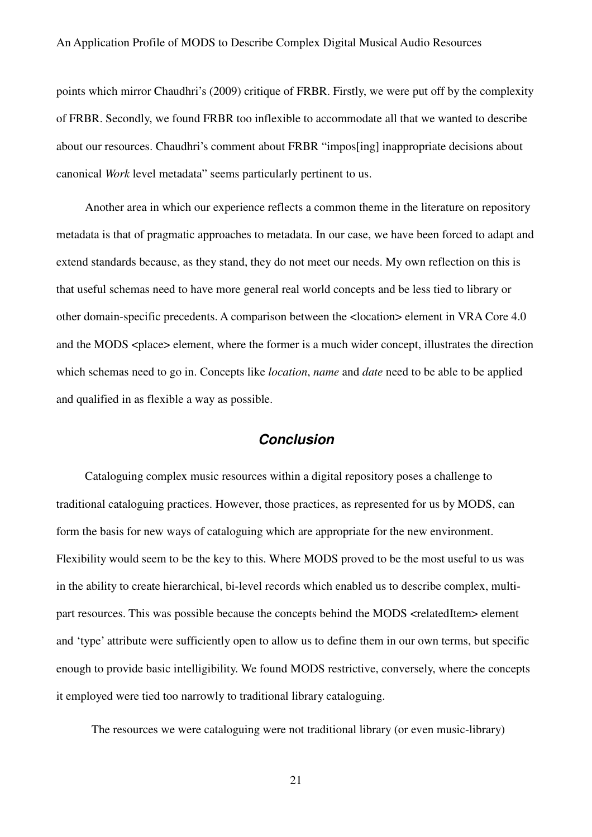points which mirror Chaudhri's (2009) critique of FRBR. Firstly, we were put off by the complexity of FRBR. Secondly, we found FRBR too inflexible to accommodate all that we wanted to describe about our resources. Chaudhri's comment about FRBR "impos[ing] inappropriate decisions about canonical *Work* level metadata" seems particularly pertinent to us.

Another area in which our experience reflects a common theme in the literature on repository metadata is that of pragmatic approaches to metadata. In our case, we have been forced to adapt and extend standards because, as they stand, they do not meet our needs. My own reflection on this is that useful schemas need to have more general real world concepts and be less tied to library or other domain-specific precedents. A comparison between the <location> element in VRA Core 4.0 and the MODS  $\langle$  place> element, where the former is a much wider concept, illustrates the direction which schemas need to go in. Concepts like *location*, *name* and *date* need to be able to be applied and qualified in as flexible a way as possible.

### *Conclusion*

Cataloguing complex music resources within a digital repository poses a challenge to traditional cataloguing practices. However, those practices, as represented for us by MODS, can form the basis for new ways of cataloguing which are appropriate for the new environment. Flexibility would seem to be the key to this. Where MODS proved to be the most useful to us was in the ability to create hierarchical, bi-level records which enabled us to describe complex, multipart resources. This was possible because the concepts behind the MODS <relatedItem> element and 'type' attribute were sufficiently open to allow us to define them in our own terms, but specific enough to provide basic intelligibility. We found MODS restrictive, conversely, where the concepts it employed were tied too narrowly to traditional library cataloguing.

The resources we were cataloguing were not traditional library (or even music-library)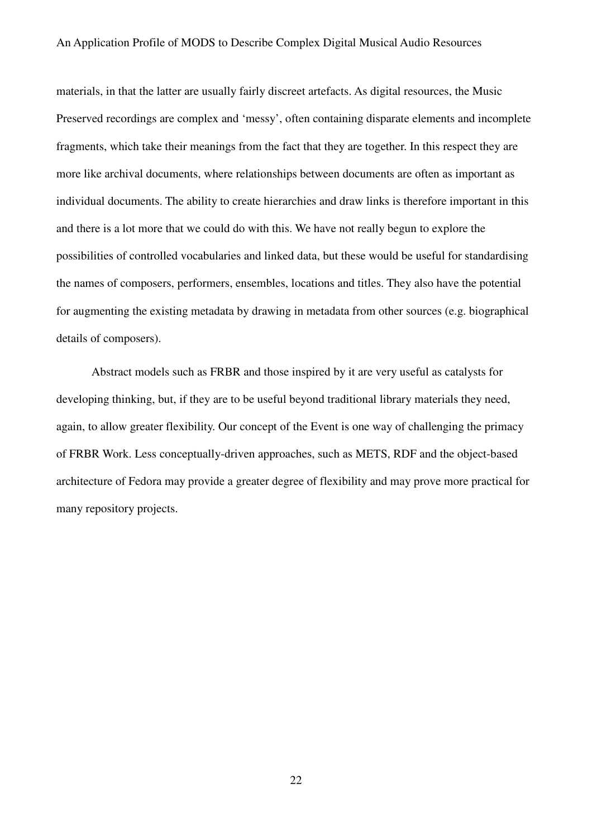materials, in that the latter are usually fairly discreet artefacts. As digital resources, the Music Preserved recordings are complex and 'messy', often containing disparate elements and incomplete fragments, which take their meanings from the fact that they are together. In this respect they are more like archival documents, where relationships between documents are often as important as individual documents. The ability to create hierarchies and draw links is therefore important in this and there is a lot more that we could do with this. We have not really begun to explore the possibilities of controlled vocabularies and linked data, but these would be useful for standardising the names of composers, performers, ensembles, locations and titles. They also have the potential for augmenting the existing metadata by drawing in metadata from other sources (e.g. biographical details of composers).

Abstract models such as FRBR and those inspired by it are very useful as catalysts for developing thinking, but, if they are to be useful beyond traditional library materials they need, again, to allow greater flexibility. Our concept of the Event is one way of challenging the primacy of FRBR Work. Less conceptually-driven approaches, such as METS, RDF and the object-based architecture of Fedora may provide a greater degree of flexibility and may prove more practical for many repository projects.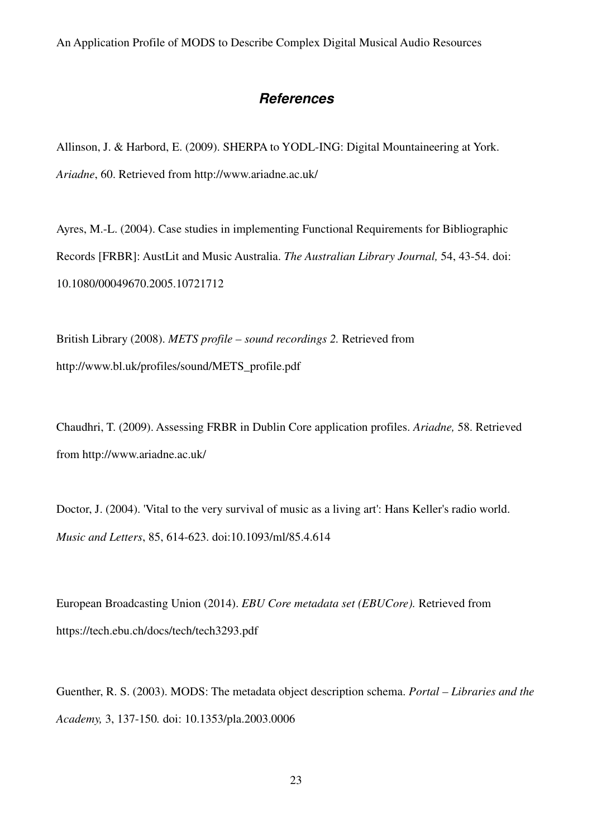### *References*

Allinson, J. & Harbord, E. (2009). SHERPA to YODL-ING: Digital Mountaineering at York. *Ariadne*, 60. Retrieved from http://www.ariadne.ac.uk/

Ayres, M.-L. (2004). Case studies in implementing Functional Requirements for Bibliographic Records [FRBR]: AustLit and Music Australia. *The Australian Library Journal,* 54, 43-54. doi: 10.1080/00049670.2005.10721712

British Library (2008). *METS profile – sound recordings 2.* Retrieved from http://www.bl.uk/profiles/sound/METS\_profile.pdf

Chaudhri, T. (2009). Assessing FRBR in Dublin Core application profiles. *Ariadne,* 58. Retrieved from http://www.ariadne.ac.uk/

Doctor, J. (2004). 'Vital to the very survival of music as a living art': Hans Keller's radio world. *Music and Letters*, 85, 614-623. doi:10.1093/ml/85.4.614

European Broadcasting Union (2014). *EBU Core metadata set (EBUCore).* Retrieved from https://tech.ebu.ch/docs/tech/tech3293.pdf

Guenther, R. S. (2003). MODS: The metadata object description schema. *Portal – Libraries and the Academy,* 3, 137-150*.* doi: 10.1353/pla.2003.0006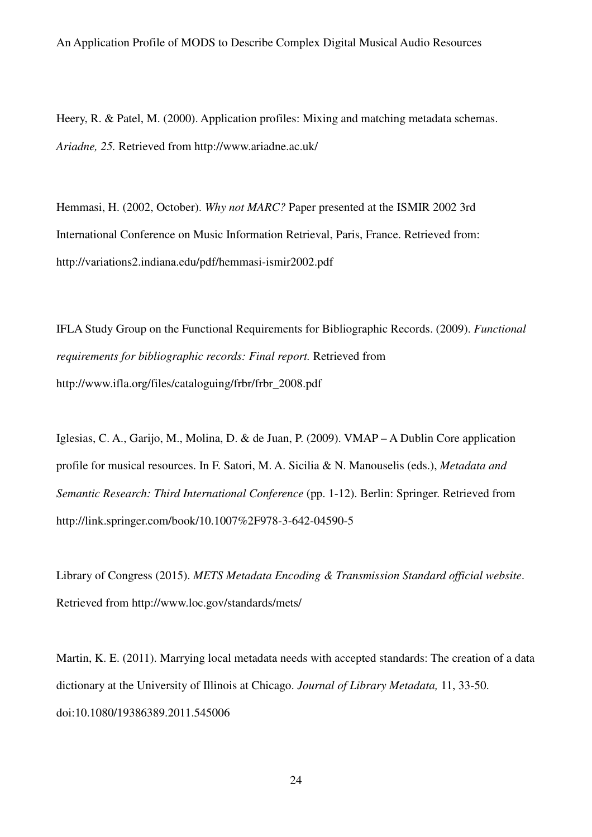Heery, R. & Patel, M. (2000). Application profiles: Mixing and matching metadata schemas. *Ariadne, 25.* Retrieved from http://www.ariadne.ac.uk/

Hemmasi, H. (2002, October). *Why not MARC?* Paper presented at the ISMIR 2002 3rd International Conference on Music Information Retrieval, Paris, France. Retrieved from: http://variations2.indiana.edu/pdf/hemmasi-ismir2002.pdf

IFLA Study Group on the Functional Requirements for Bibliographic Records. (2009). *Functional requirements for bibliographic records: Final report.* Retrieved from http://www.ifla.org/files/cataloguing/frbr/frbr\_2008.pdf

Iglesias, C. A., Garijo, M., Molina, D. & de Juan, P. (2009). VMAP – A Dublin Core application profile for musical resources. In F. Satori, M. A. Sicilia & N. Manouselis (eds.), *Metadata and Semantic Research: Third International Conference* (pp. 1-12). Berlin: Springer. Retrieved from http://link.springer.com/book/10.1007%2F978-3-642-04590-5

Library of Congress (2015). *METS Metadata Encoding & Transmission Standard official website*. Retrieved from http://www.loc.gov/standards/mets/

Martin, K. E. (2011). Marrying local metadata needs with accepted standards: The creation of a data dictionary at the University of Illinois at Chicago. *Journal of Library Metadata,* 11, 33-50. doi:10.1080/19386389.2011.545006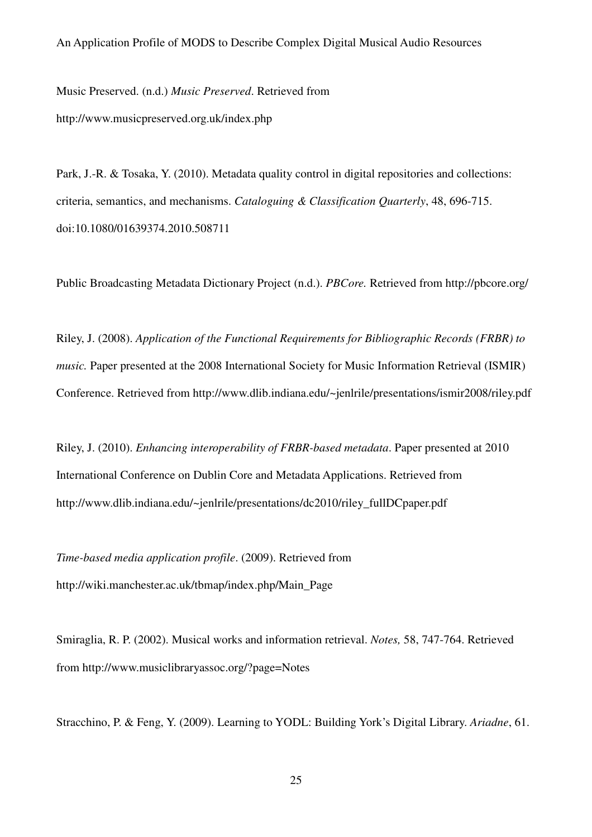Music Preserved. (n.d.) *Music Preserved*. Retrieved from http://www.musicpreserved.org.uk/index.php

Park, J.-R. & Tosaka, Y. (2010). Metadata quality control in digital repositories and collections: criteria, semantics, and mechanisms. *Cataloguing & Classification Quarterly*, 48, 696-715. doi:10.1080/01639374.2010.508711

Public Broadcasting Metadata Dictionary Project (n.d.). *PBCore.* Retrieved from http://pbcore.org/

Riley, J. (2008). *Application of the Functional Requirements for Bibliographic Records (FRBR) to music*. Paper presented at the 2008 International Society for Music Information Retrieval (ISMIR) Conference. Retrieved from http://www.dlib.indiana.edu/~jenlrile/presentations/ismir2008/riley.pdf

Riley, J. (2010). *Enhancing interoperability of FRBR-based metadata*. Paper presented at 2010 International Conference on Dublin Core and Metadata Applications. Retrieved from http://www.dlib.indiana.edu/~jenlrile/presentations/dc2010/riley\_fullDCpaper.pdf

*Time-based media application profile*. (2009). Retrieved from http://wiki.manchester.ac.uk/tbmap/index.php/Main\_Page

Smiraglia, R. P. (2002). Musical works and information retrieval. *Notes,* 58, 747-764. Retrieved from http://www.musiclibraryassoc.org/?page=Notes

Stracchino, P. & Feng, Y. (2009). Learning to YODL: Building York's Digital Library. *Ariadne*, 61.